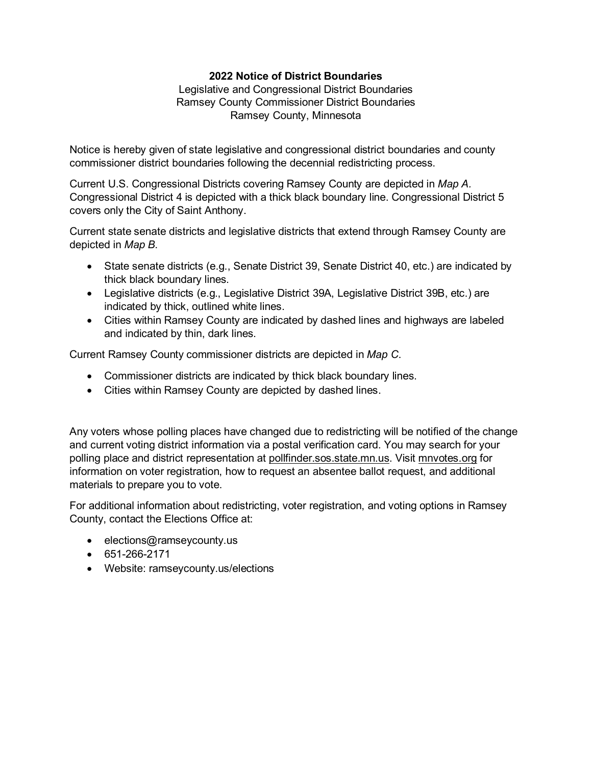## **2022 Notice of District Boundaries**

Legislative and Congressional District Boundaries Ramsey County Commissioner District Boundaries Ramsey County, Minnesota

Notice is hereby given of state legislative and congressional district boundaries and county commissioner district boundaries following the decennial redistricting process.

Current U.S. Congressional Districts covering Ramsey County are depicted in *Map A.* Congressional District 4 is depicted with a thick black boundary line. Congressional District 5 covers only the City of Saint Anthony.

Current state senate districts and legislative districts that extend through Ramsey County are depicted in *Map B*.

- State senate districts (e.g., Senate District 39, Senate District 40, etc.) are indicated by thick black boundary lines.
- Legislative districts (e.g., Legislative District 39A, Legislative District 39B, etc.) are indicated by thick, outlined white lines.
- Cities within Ramsey County are indicated by dashed lines and highways are labeled and indicated by thin, dark lines.

Current Ramsey County commissioner districts are depicted in *Map C*.

- Commissioner districts are indicated by thick black boundary lines.
- Cities within Ramsey County are depicted by dashed lines.

Any voters whose polling places have changed due to redistricting will be notified of the change and current voting district information via a postal verification card. You may search for your polling place and district representation at [pollfinder.sos.state.mn.us.](https://pollfinder.sos.state.mn.us/) Visit mnvotes.org for information on voter registration, how to request an absentee ballot request, and additional materials to prepare you to vote.

For additional information about redistricting, voter registration, and voting options in Ramsey County, contact the Elections Office at:

- elections@ramseycounty.us
- 651-266-2171
- Website: ramseycounty.us/elections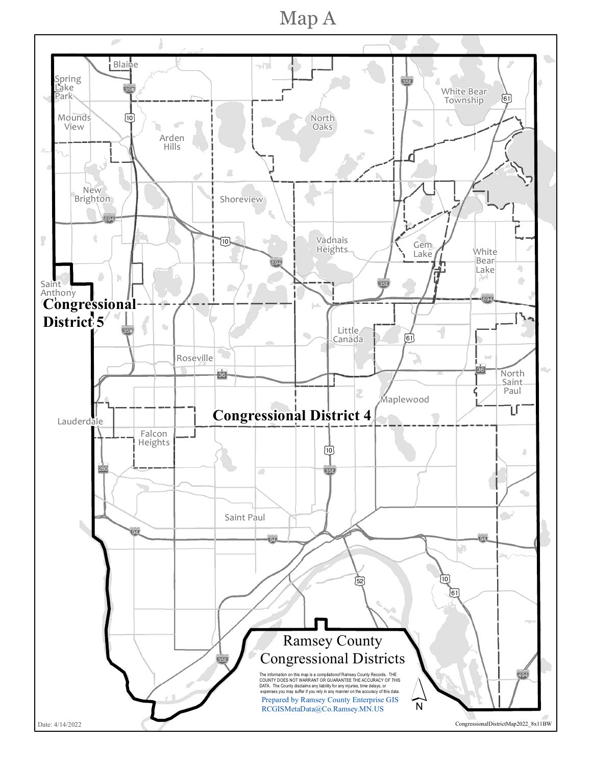Map A

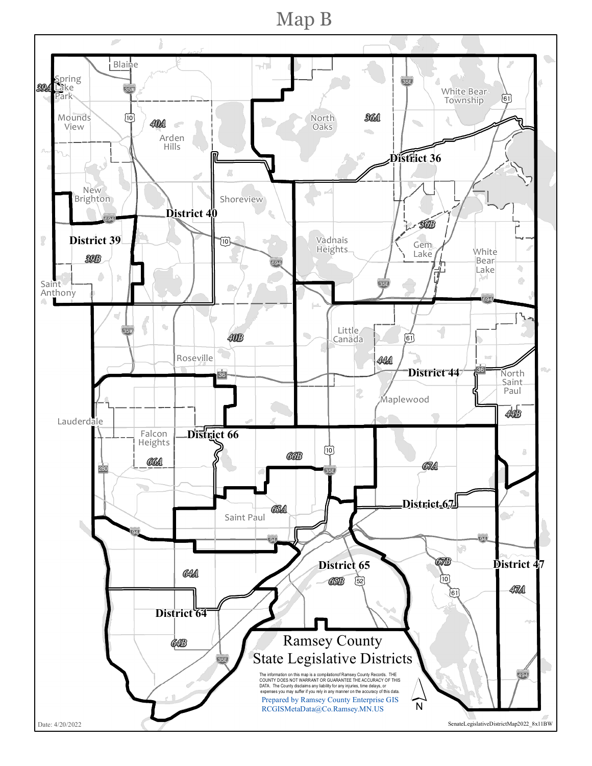Map B